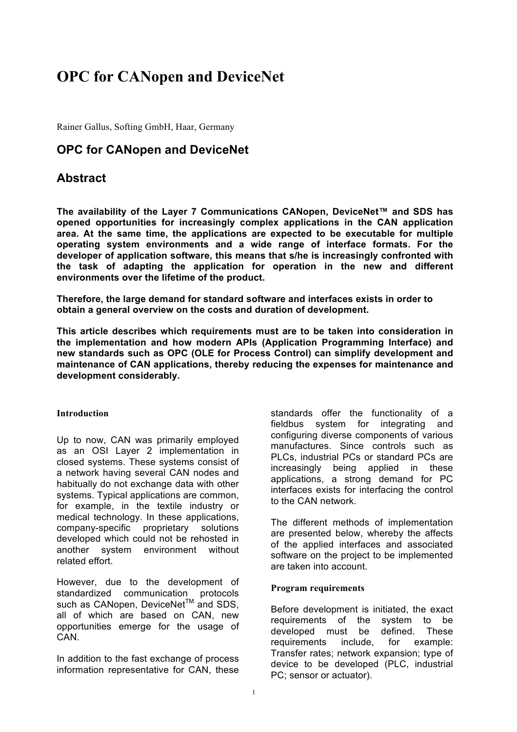# **OPC for CANopen and DeviceNet**

Rainer Gallus, Softing GmbH, Haar, Germany

# **OPC for CANopen and DeviceNet**

# **Abstract**

**The availability of the Layer 7 Communications CANopen, DeviceNet™ and SDS has opened opportunities for increasingly complex applications in the CAN application area. At the same time, the applications are expected to be executable for multiple operating system environments and a wide range of interface formats. For the developer of application software, this means that s/he is increasingly confronted with the task of adapting the application for operation in the new and different environments over the lifetime of the product.**

**Therefore, the large demand for standard software and interfaces exists in order to obtain a general overview on the costs and duration of development.**

**This article describes which requirements must are to be taken into consideration in the implementation and how modern APIs (Application Programming Interface) and new standards such as OPC (OLE for Process Control) can simplify development and maintenance of CAN applications, thereby reducing the expenses for maintenance and development considerably.**

# **Introduction**

Up to now, CAN was primarily employed as an OSI Layer 2 implementation in closed systems. These systems consist of a network having several CAN nodes and habitually do not exchange data with other systems. Typical applications are common, for example, in the textile industry or medical technology. In these applications, company-specific proprietary solutions developed which could not be rehosted in another system environment without related effort.

However, due to the development of standardized communication protocols such as CANopen, DeviceNet<sup>™</sup> and SDS. all of which are based on CAN, new opportunities emerge for the usage of **CAN** 

In addition to the fast exchange of process information representative for CAN, these standards offer the functionality of a fieldbus system for integrating and configuring diverse components of various manufactures. Since controls such as PLCs, industrial PCs or standard PCs are increasingly being applied in these applications, a strong demand for PC interfaces exists for interfacing the control to the CAN network.

The different methods of implementation are presented below, whereby the affects of the applied interfaces and associated software on the project to be implemented are taken into account.

#### **Program requirements**

Before development is initiated, the exact requirements of the system to be developed must be defined. These requirements include, for example: Transfer rates; network expansion; type of device to be developed (PLC, industrial PC; sensor or actuator).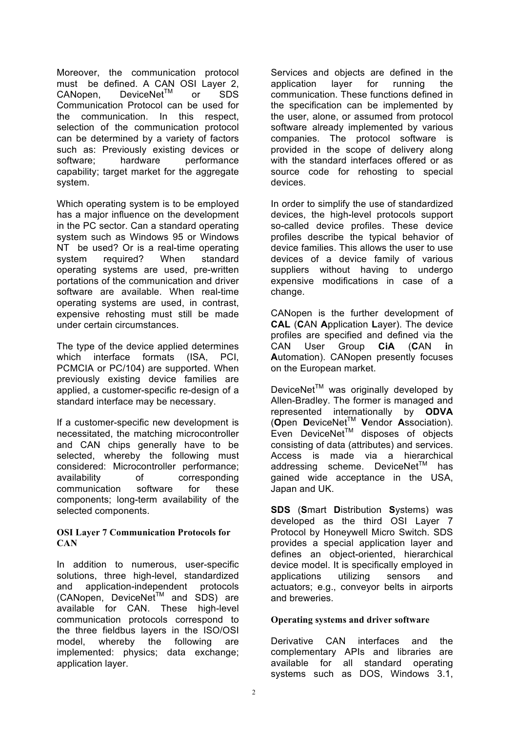Moreover, the communication protocol must be defined. A CAN OSI Laver 2. CANopen, DeviceNet™ or SDS Communication Protocol can be used for the communication. In this respect, selection of the communication protocol can be determined by a variety of factors such as: Previously existing devices or software; hardware performance capability; target market for the aggregate system.

Which operating system is to be employed has a major influence on the development in the PC sector. Can a standard operating system such as Windows 95 or Windows NT be used? Or is a real-time operating system required? When standard operating systems are used, pre-written portations of the communication and driver software are available. When real-time operating systems are used, in contrast, expensive rehosting must still be made under certain circumstances.

The type of the device applied determines which interface formats (ISA, PCI, PCMCIA or PC/104) are supported. When previously existing device families are applied, a customer-specific re-design of a standard interface may be necessary.

If a customer-specific new development is necessitated, the matching microcontroller and CAN chips generally have to be selected, whereby the following must considered: Microcontroller performance; availability of corresponding communication software for these components; long-term availability of the selected components.

#### **OSI Layer 7 Communication Protocols for CAN**

In addition to numerous, user-specific solutions, three high-level, standardized and application-independent protocols (CANopen, DeviceNet<sup>™</sup> and SDS) are available for CAN. These high-level communication protocols correspond to the three fieldbus layers in the ISO/OSI model, whereby the following are implemented: physics; data exchange; application layer.

Services and objects are defined in the application layer for running the communication. These functions defined in the specification can be implemented by the user, alone, or assumed from protocol software already implemented by various companies. The protocol software is provided in the scope of delivery along with the standard interfaces offered or as source code for rehosting to special devices.

In order to simplify the use of standardized devices, the high-level protocols support so-called device profiles. These device profiles describe the typical behavior of device families. This allows the user to use devices of a device family of various suppliers without having to undergo expensive modifications in case of a change.

CANopen is the further development of **CAL** (**C**AN **A**pplication **L**ayer). The device profiles are specified and defined via the CAN User Group **CiA** (**C**AN **i**n **A**utomation). CANopen presently focuses on the European market.

DeviceNet<sup>™</sup> was originally developed by Allen-Bradley. The former is managed and represented internationally by **ODVA** (**O**pen **D**eviceNetTM **V**endor **A**ssociation).  $E$ ven DeviceNet<sup>TM</sup> disposes of objects consisting of data (attributes) and services. Access is made via a hierarchical addressing scheme. DeviceNet<sup>TM</sup> has gained wide acceptance in the USA, Japan and UK.

**SDS** (**S**mart **D**istribution **S**ystems) was developed as the third OSI Layer 7 Protocol by Honeywell Micro Switch. SDS provides a special application layer and defines an object-oriented, hierarchical device model. It is specifically employed in applications utilizing sensors and actuators; e.g., conveyor belts in airports and breweries.

# **Operating systems and driver software**

Derivative CAN interfaces and the complementary APIs and libraries are available for all standard operating systems such as DOS, Windows 3.1,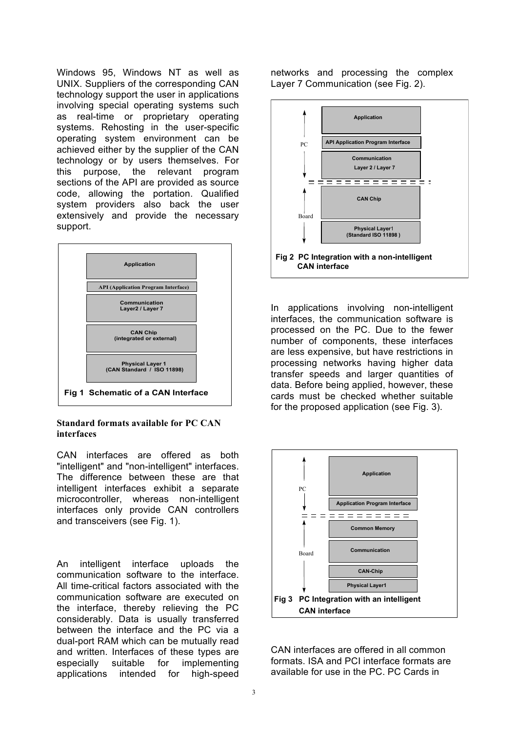Windows 95, Windows NT as well as UNIX. Suppliers of the corresponding CAN technology support the user in applications involving special operating systems such as real-time or proprietary operating systems. Rehosting in the user-specific operating system environment can be achieved either by the supplier of the CAN technology or by users themselves. For this purpose, the relevant program sections of the API are provided as source code, allowing the portation. Qualified system providers also back the user extensively and provide the necessary support.



#### **Standard formats available for PC CAN interfaces**

CAN interfaces are offered as both "intelligent" and "non-intelligent" interfaces. The difference between these are that intelligent interfaces exhibit a separate microcontroller, whereas non-intelligent interfaces only provide CAN controllers and transceivers (see Fig. 1).

An intelligent interface uploads the communication software to the interface. All time-critical factors associated with the communication software are executed on the interface, thereby relieving the PC considerably. Data is usually transferred between the interface and the PC via a dual-port RAM which can be mutually read and written. Interfaces of these types are especially suitable for implementing applications intended for high-speed

networks and processing the complex Layer 7 Communication (see Fig. 2).



In applications involving non-intelligent interfaces, the communication software is processed on the PC. Due to the fewer number of components, these interfaces are less expensive, but have restrictions in processing networks having higher data transfer speeds and larger quantities of data. Before being applied, however, these cards must be checked whether suitable for the proposed application (see Fig. 3).



CAN interfaces are offered in all common formats. ISA and PCI interface formats are available for use in the PC. PC Cards in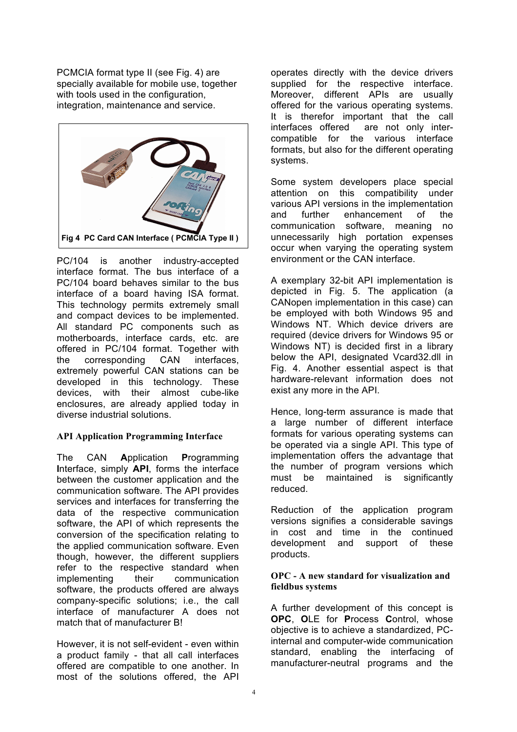PCMCIA format type II (see Fig. 4) are specially available for mobile use, together with tools used in the configuration, integration, maintenance and service.



PC/104 is another industry-accepted interface format. The bus interface of a PC/104 board behaves similar to the bus interface of a board having ISA format. This technology permits extremely small and compact devices to be implemented. All standard PC components such as motherboards, interface cards, etc. are offered in PC/104 format. Together with the corresponding CAN interfaces, extremely powerful CAN stations can be developed in this technology. These devices, with their almost cube-like enclosures, are already applied today in diverse industrial solutions.

# **API Application Programming Interface**

The CAN **A**pplication **P**rogramming **I**nterface, simply **API**, forms the interface between the customer application and the communication software. The API provides services and interfaces for transferring the data of the respective communication software, the API of which represents the conversion of the specification relating to the applied communication software. Even though, however, the different suppliers refer to the respective standard when implementing their communication software, the products offered are always company-specific solutions; i.e., the call interface of manufacturer A does not match that of manufacturer B!

However, it is not self-evident - even within a product family - that all call interfaces offered are compatible to one another. In most of the solutions offered, the API

operates directly with the device drivers supplied for the respective interface. Moreover, different APIs are usually offered for the various operating systems. It is therefor important that the call interfaces offered are not only intercompatible for the various interface formats, but also for the different operating systems.

Some system developers place special attention on this compatibility under various API versions in the implementation and further enhancement of the communication software, meaning no unnecessarily high portation expenses occur when varying the operating system environment or the CAN interface.

A exemplary 32-bit API implementation is depicted in Fig. 5. The application (a CANopen implementation in this case) can be employed with both Windows 95 and Windows NT. Which device drivers are required (device drivers for Windows 95 or Windows NT) is decided first in a library below the API, designated Vcard32.dll in Fig. 4. Another essential aspect is that hardware-relevant information does not exist any more in the API.

Hence, long-term assurance is made that a large number of different interface formats for various operating systems can be operated via a single API. This type of implementation offers the advantage that the number of program versions which must be maintained is significantly reduced.

Reduction of the application program versions signifies a considerable savings in cost and time in the continued development and support of these products.

# **OPC - A new standard for visualization and fieldbus systems**

A further development of this concept is **OPC**, **O**LE for **P**rocess **C**ontrol, whose objective is to achieve a standardized, PCinternal and computer-wide communication standard, enabling the interfacing of manufacturer-neutral programs and the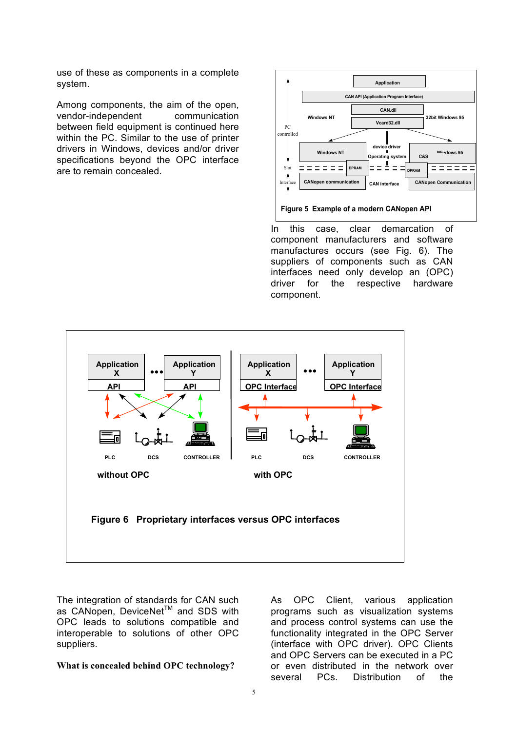use of these as components in a complete system.

Among components, the aim of the open, vendor-independent communication between field equipment is continued here within the PC. Similar to the use of printer drivers in Windows, devices and/or driver specifications beyond the OPC interface are to remain concealed.



In this case, clear demarcation of component manufacturers and software manufactures occurs (see Fig. 6). The suppliers of components such as CAN interfaces need only develop an (OPC) driver for the respective hardware component.



The integration of standards for CAN such as CANopen, DeviceNet<sup>™</sup> and SDS with OPC leads to solutions compatible and interoperable to solutions of other OPC suppliers.

#### **What is concealed behind OPC technology?**

As OPC Client, various application programs such as visualization systems and process control systems can use the functionality integrated in the OPC Server (interface with OPC driver). OPC Clients and OPC Servers can be executed in a PC or even distributed in the network over several PCs. Distribution of the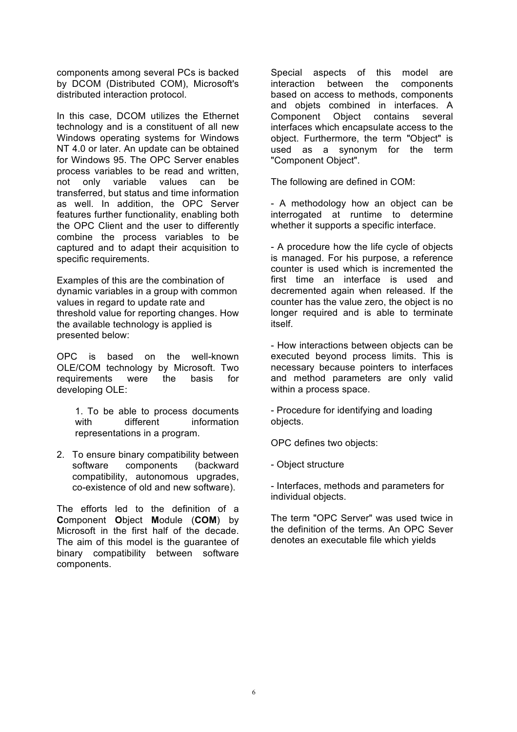components among several PCs is backed by DCOM (Distributed COM), Microsoft's distributed interaction protocol.

In this case, DCOM utilizes the Ethernet technology and is a constituent of all new Windows operating systems for Windows NT 4.0 or later. An update can be obtained for Windows 95. The OPC Server enables process variables to be read and written, not only variable values can be transferred, but status and time information as well. In addition, the OPC Server features further functionality, enabling both the OPC Client and the user to differently combine the process variables to be captured and to adapt their acquisition to specific requirements.

Examples of this are the combination of dynamic variables in a group with common values in regard to update rate and threshold value for reporting changes. How the available technology is applied is presented below:

OPC is based on the well-known OLE/COM technology by Microsoft. Two requirements were the basis for developing OLE:

1. To be able to process documents with different information representations in a program.

2. To ensure binary compatibility between software components (backward compatibility, autonomous upgrades, co-existence of old and new software).

The efforts led to the definition of a **C**omponent **O**bject **M**odule (**COM**) by Microsoft in the first half of the decade. The aim of this model is the guarantee of binary compatibility between software components.

Special aspects of this model are interaction between the components based on access to methods, components and objets combined in interfaces. A Component Object contains several interfaces which encapsulate access to the object. Furthermore, the term "Object" is used as a synonym for the term "Component Object".

The following are defined in COM:

- A methodology how an object can be interrogated at runtime to determine whether it supports a specific interface.

- A procedure how the life cycle of objects is managed. For his purpose, a reference counter is used which is incremented the first time an interface is used and decremented again when released. If the counter has the value zero, the object is no longer required and is able to terminate itself.

- How interactions between objects can be executed beyond process limits. This is necessary because pointers to interfaces and method parameters are only valid within a process space.

- Procedure for identifying and loading objects.

OPC defines two objects:

- Object structure

- Interfaces, methods and parameters for individual objects.

The term "OPC Server" was used twice in the definition of the terms. An OPC Sever denotes an executable file which yields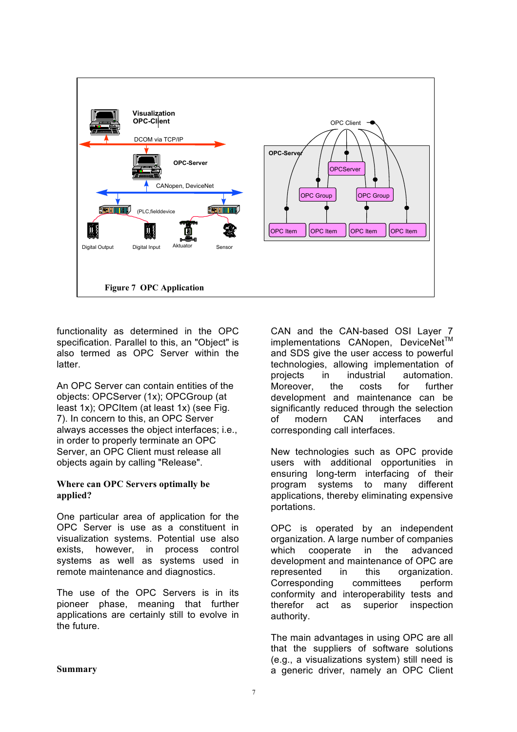

functionality as determined in the OPC specification. Parallel to this, an "Object" is also termed as OPC Server within the latter.

An OPC Server can contain entities of the objects: OPCServer (1x); OPCGroup (at least 1x); OPCItem (at least 1x) (see Fig. 7). In concern to this, an OPC Server always accesses the object interfaces; i.e., in order to properly terminate an OPC Server, an OPC Client must release all objects again by calling "Release".

#### **Where can OPC Servers optimally be applied?**

One particular area of application for the OPC Server is use as a constituent in visualization systems. Potential use also exists, however, in process control systems as well as systems used in remote maintenance and diagnostics.

The use of the OPC Servers is in its pioneer phase, meaning that further applications are certainly still to evolve in the future.

CAN and the CAN-based OSI Layer 7 implementations CANopen, DeviceNet™ and SDS give the user access to powerful technologies, allowing implementation of projects in industrial automation. Moreover, the costs for further development and maintenance can be significantly reduced through the selection of modern CAN interfaces and corresponding call interfaces.

New technologies such as OPC provide users with additional opportunities in ensuring long-term interfacing of their program systems to many different applications, thereby eliminating expensive portations.

OPC is operated by an independent organization. A large number of companies which cooperate in the advanced development and maintenance of OPC are represented in this organization. Corresponding committees perform conformity and interoperability tests and therefor act as superior inspection authority.

The main advantages in using OPC are all that the suppliers of software solutions (e.g., a visualizations system) still need is a generic driver, namely an OPC Client

**Summary**